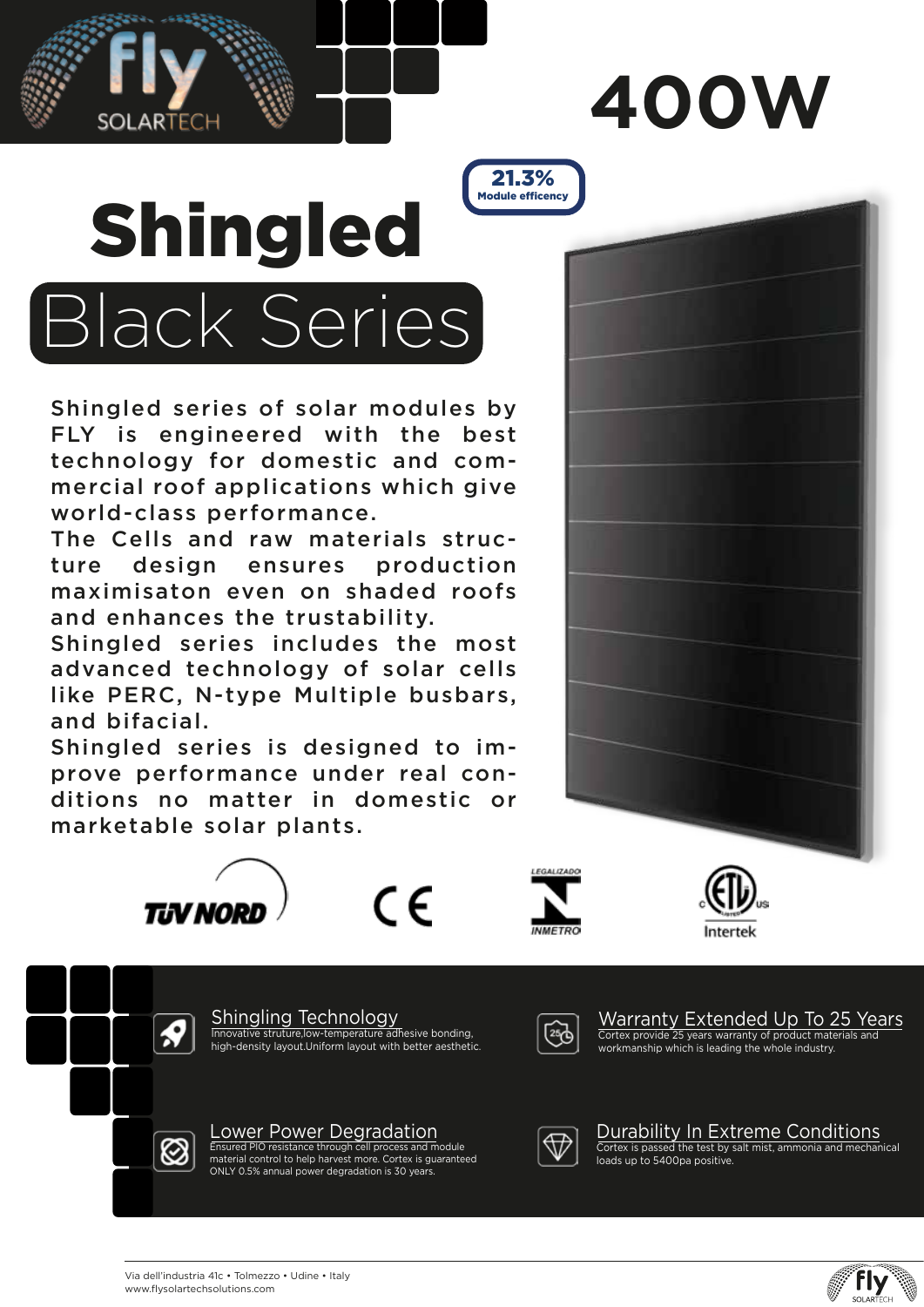

# Shingled Black Series Module efficency

ARTECH

Shingled series of solar modules by FLY is engineered with the best technology for domestic and commercial roof applications which give world-class performance.

The Cells and raw materials structure design ensures production maximisaton even on shaded roofs and enhances the trustability.

Shingled series includes the most advanced technology of solar cells like PERC, N-type Multiple busbars, and bifacial.

Shingled series is designed to improve performance under real conditions no matter in domestic or marketable solar plants.



 $\epsilon$ 



21.3%



Shingling Technology Innovative struture,low-temperature adhesive bonding, high-density layout.Uniform layout with better aesthetic.



Warranty Extended Up To 25 Years Cortex provide 25 years warranty of product materials and workmanship which is leading the whole industry.



**R** 

LOWEY POWEY Degradation<br>Ensured PIO resistance through cell process and module<br>material control to help harvest more. Cortex is guaranteed ONLY 0.5% annual power degradation is 30 years.



Durability In Extreme Conditions Cortex is passed the test by salt mist, ammonia and mechanical loads up to 5400pa positive.